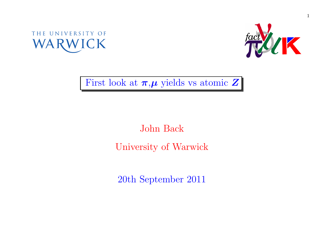



# First look at  $\pi,\mu$  yields vs atomic  $Z$

## John Back

### University of Warwick

20th September <sup>2011</sup>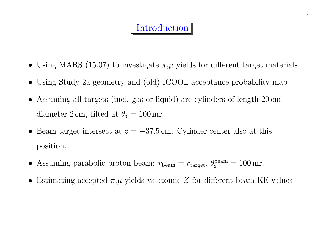#### Introduction

- Using MARS (15.07) to investigate  $\pi,\mu$  yields for different target materials
- •Using Study 2a geometry and (old) ICOOL acceptance probability map
- Assuming all targets (incl. gas or liquid) are cylinders of length <sup>20</sup> cm, diameter 2 cm, tilted at  $\theta_z = 100$  mr.
- Beam-target intersect at  $z = -37.5$  cm. Cylinder center also at this position.
- Assuming parabolic proton beam:  $r_{\text{beam}} = r_{\text{target}}$ ,  $\theta_{\text{z}}^{\text{beam}} = 100 \text{ mr}$ .
- Estimating accepted  $\pi,\mu$  yields vs atomic Z for different beam KE values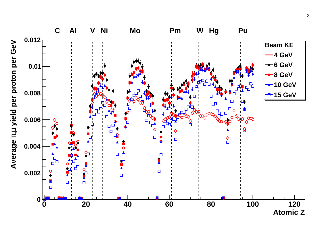